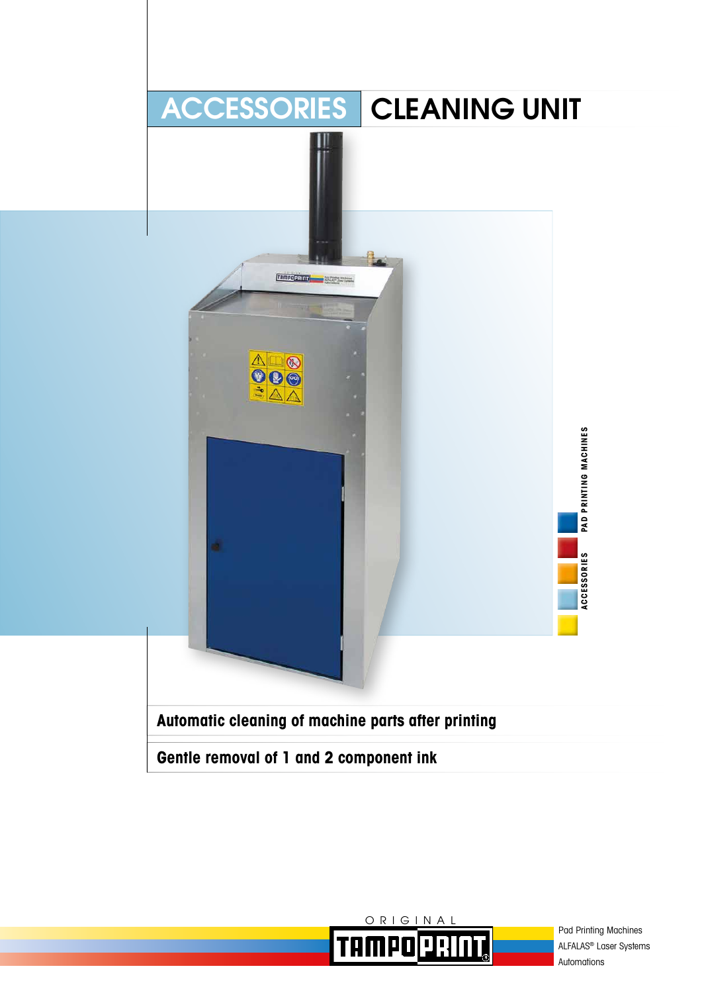



Pad Printing Machines ALFALAS® Laser Systems Automations